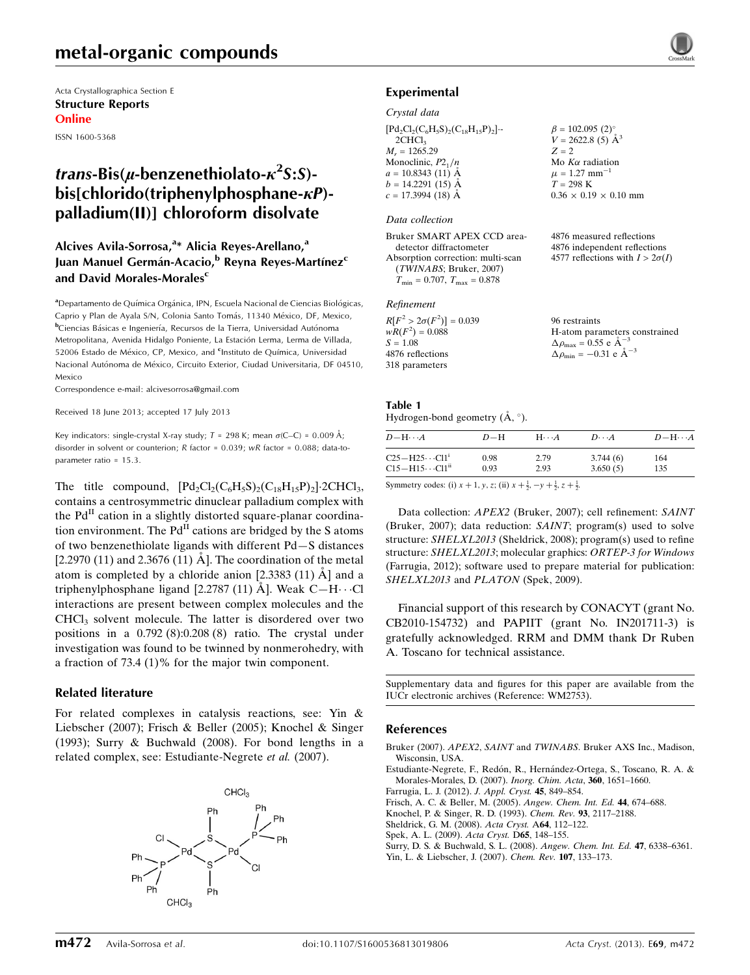# metal-organic compounds

Acta Crystallographica Section E Structure Reports Online

ISSN 1600-5368

# *trans*-Bis( $\mu$ -benzenethiolato- $\kappa^2$ S:S) $bis[chlorido(trichlenvlphosphane- $\kappa$ P)$ palladium(II)] chloroform disolvate

### Alcives Avila-Sorrosa,<sup>a\*</sup> Alicia Reyes-Arellano,<sup>a</sup> Juan Manuel Germán-Acacio,<sup>b</sup> Reyna Reyes-Martínez<sup>c</sup> and David Morales-Morales<sup>c</sup>

aDepartamento de Química Orgánica, IPN, Escuela Nacional de Ciencias Biológicas, Caprio y Plan de Ayala S/N, Colonia Santo Tomás, 11340 México, DF, Mexico, <sup>b</sup>Ciencias Básicas e Ingeniería, Recursos de la Tierra, Universidad Autónoma Metropolitana, Avenida Hidalgo Poniente, La Estación Lerma, Lerma de Villada, 52006 Estado de México, CP, Mexico, and <sup>c</sup>Instituto de Química, Universidad Nacional Autónoma de México, Circuito Exterior, Ciudad Universitaria, DF 04510, Mexico

Correspondence e-mail: [alcivesorrosa@gmail.com](https://scripts.iucr.org/cgi-bin/cr.cgi?rm=pdfbb&cnor=wm2753&bbid=BB9)

Received 18 June 2013; accepted 17 July 2013

Key indicators: single-crystal X-ray study;  $T = 298$  K; mean  $\sigma$ (C–C) = 0.009 Å; disorder in solvent or counterion; R factor = 0.039; wR factor = 0.088; data-toparameter ratio = 15.3.

The title compound,  $[\text{Pd}_2\text{Cl}_2(\text{C}_6\text{H}_5\text{S})_2(\text{C}_{18}\text{H}_{15}\text{P})_2]$ -2CHCl<sub>3</sub>, contains a centrosymmetric dinuclear palladium complex with the  $Pd<sup>H</sup>$  cation in a slightly distorted square-planar coordination environment. The  $Pd<sup>H</sup>$  cations are bridged by the S atoms of two benzenethiolate ligands with different Pd—S distances  $[2.2970 (11)$  and  $2.3676 (11)$  Å]. The coordination of the metal atom is completed by a chloride anion  $[2.3383 (11)$   $\AA]$  and a triphenylphosphane ligand [2.2787 (11)  $\rm \AA$ ]. Weak C-H $\cdots$ Cl interactions are present between complex molecules and the CHCl<sub>3</sub> solvent molecule. The latter is disordered over two positions in a 0.792 (8):0.208 (8) ratio. The crystal under investigation was found to be twinned by nonmerohedry, with a fraction of  $73.4$  (1)% for the major twin component.

#### Related literature

For related complexes in catalysis reactions, see: Yin & Liebscher (2007); Frisch & Beller (2005); Knochel & Singer (1993); Surry & Buchwald (2008). For bond lengths in a related complex, see: Estudiante-Negrete et al. (2007).





4876 measured reflections 4876 independent reflections 4577 reflections with  $I > 2\sigma(I)$ 

### Experimental

#### Crystal data

| $[Pd_2Cl_2(C_6H_5S)_2(C_{18}H_{15}P)_2]$ . | $\beta = 102.095$ (2) <sup>°</sup><br>$V = 2622.8$ (5) Å <sup>3</sup> |
|--------------------------------------------|-----------------------------------------------------------------------|
| 2CHCl <sub>3</sub>                         |                                                                       |
| $M_r = 1265.29$                            | $Z = 2$                                                               |
| Monoclinic, $P2_1/n$                       | Mo $K\alpha$ radiation                                                |
| $a = 10.8343(11)$ Å                        | $\mu = 1.27$ mm <sup>-1</sup>                                         |
| $b = 14.2291(15)$ Å                        | $T = 298$ K                                                           |
| $c = 17.3994$ (18) Å                       | $0.36 \times 0.19 \times 0.10$ mm                                     |

#### Data collection

Bruker SMART APEX CCD areadetector diffractometer Absorption correction: multi-scan (TWINABS; Bruker, 2007)  $T_{\rm min} = 0.707,\ T_{\rm max} = 0.878$ 

#### Refinement

| $R[F^2 > 2\sigma(F^2)] = 0.039$ | 96 restraints                                   |
|---------------------------------|-------------------------------------------------|
| $wR(F^2) = 0.088$               | H-atom parameters constrained                   |
| $S = 1.08$                      | $\Delta \rho_{\text{max}} = 0.55$ e $\AA^{-3}$  |
| 4876 reflections                | $\Delta \rho_{\text{min}} = -0.31$ e $\AA^{-3}$ |
| 318 parameters                  |                                                 |

# Table 1

Hydrogen-bond geometry  $(A, \circ)$ .

| $D-H$        | $H\cdots A$  | $D\cdots A$          | $D - H \cdots A$ |
|--------------|--------------|----------------------|------------------|
| 0.98<br>0.93 | 2.79<br>2.93 | 3.744(6)<br>3.650(5) | 164<br>135       |
|              |              |                      |                  |

Symmetry codes: (i)  $x + 1$ ,  $y$ ,  $z$ ; (ii)  $x + \frac{1}{2}$ ,  $-y + \frac{1}{2}$ ,  $z + \frac{1}{2}$ .

Data collection: APEX2 (Bruker, 2007); cell refinement: SAINT (Bruker, 2007); data reduction: SAINT; program(s) used to solve structure: SHELXL2013 (Sheldrick, 2008); program(s) used to refine structure: SHELXL2013; molecular graphics: ORTEP-3 for Windows (Farrugia, 2012); software used to prepare material for publication: SHELXL2013 and PLATON (Spek, 2009).

Financial support of this research by CONACYT (grant No. CB2010-154732) and PAPIIT (grant No. IN201711-3) is gratefully acknowledged. RRM and DMM thank Dr Ruben A. Toscano for technical assistance.

Supplementary data and figures for this paper are available from the IUCr electronic archives (Reference: WM2753).

#### References

- Bruker (2007). APEX2, SAINT and TWINABS[. Bruker AXS Inc., Madison,](https://scripts.iucr.org/cgi-bin/cr.cgi?rm=pdfbb&cnor=wm2753&bbid=BB1) [Wisconsin, USA.](https://scripts.iucr.org/cgi-bin/cr.cgi?rm=pdfbb&cnor=wm2753&bbid=BB1)
- Estudiante-Negrete, F., Redón, R., Hernández-Ortega, S., Toscano, R. A. &
- [Morales-Morales, D. \(2007\).](https://scripts.iucr.org/cgi-bin/cr.cgi?rm=pdfbb&cnor=wm2753&bbid=BB2) Inorg. Chim. Acta, 360, 1651–1660. [Farrugia, L. J. \(2012\).](https://scripts.iucr.org/cgi-bin/cr.cgi?rm=pdfbb&cnor=wm2753&bbid=BB3) J. Appl. Cryst. 45, 849–854.
- [Frisch, A. C. & Beller, M. \(2005\).](https://scripts.iucr.org/cgi-bin/cr.cgi?rm=pdfbb&cnor=wm2753&bbid=BB4) Angew. Chem. Int. Ed. 44, 674–688.
- [Knochel, P. & Singer, R. D. \(1993\).](https://scripts.iucr.org/cgi-bin/cr.cgi?rm=pdfbb&cnor=wm2753&bbid=BB5) Chem. Rev. 93, 2117–2188.
- [Sheldrick, G. M. \(2008\).](https://scripts.iucr.org/cgi-bin/cr.cgi?rm=pdfbb&cnor=wm2753&bbid=BB6) Acta Cryst. A64, 112–122.
- [Spek, A. L. \(2009\).](https://scripts.iucr.org/cgi-bin/cr.cgi?rm=pdfbb&cnor=wm2753&bbid=BB7) Acta Cryst. D65, 148–155.
- [Surry, D. S. & Buchwald, S. L. \(2008\).](https://scripts.iucr.org/cgi-bin/cr.cgi?rm=pdfbb&cnor=wm2753&bbid=BB8) Angew. Chem. Int. Ed. 47, 6338–6361.
- [Yin, L. & Liebscher, J. \(2007\).](https://scripts.iucr.org/cgi-bin/cr.cgi?rm=pdfbb&cnor=wm2753&bbid=BB9) Chem. Rev. 107, 133–173.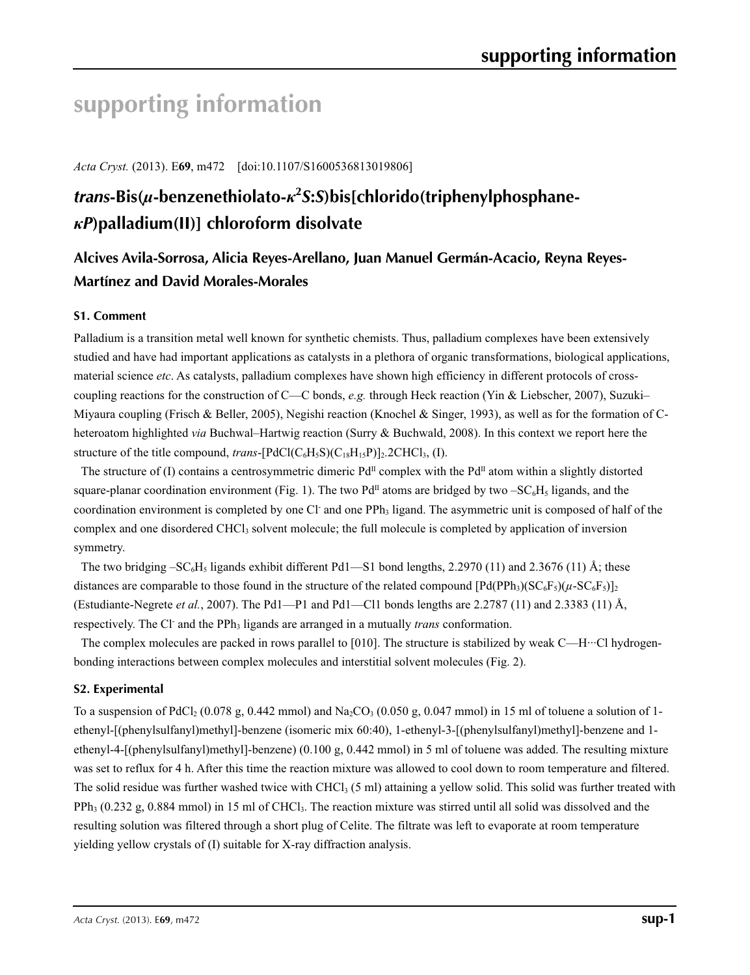# **supporting information**

*Acta Cryst.* (2013). E**69**, m472 [doi:10.1107/S1600536813019806]

# *trans***-Bis(***µ***-benzenethiolato-***κ***<sup>2</sup>** *S***:***S***)bis[chlorido(triphenylphosphane***κP***)palladium(II)] chloroform disolvate**

## **Alcives Avila-Sorrosa, Alicia Reyes-Arellano, Juan Manuel Germán-Acacio, Reyna Reyes-Martínez and David Morales-Morales**

### **S1. Comment**

Palladium is a transition metal well known for synthetic chemists. Thus, palladium complexes have been extensively studied and have had important applications as catalysts in a plethora of organic transformations, biological applications, material science *etc*. As catalysts, palladium complexes have shown high efficiency in different protocols of crosscoupling reactions for the construction of C—C bonds, *e.g.* through Heck reaction (Yin & Liebscher, 2007), Suzuki– Miyaura coupling (Frisch & Beller, 2005), Negishi reaction (Knochel & Singer, 1993), as well as for the formation of Cheteroatom highlighted *via* Buchwal–Hartwig reaction (Surry & Buchwald, 2008). In this context we report here the structure of the title compound, *trans*- $[PdCl(C_6H_5S)(C_{18}H_{15}P)]_2$ . 2CHCl<sub>3</sub>, (I).

The structure of (I) contains a centrosymmetric dimeric Pd<sup>II</sup> complex with the Pd<sup>II</sup> atom within a slightly distorted square-planar coordination environment (Fig. 1). The two Pd<sup>II</sup> atoms are bridged by two  $-SC_6H_5$  ligands, and the coordination environment is completed by one Cl and one PPh<sub>3</sub> ligand. The asymmetric unit is composed of half of the complex and one disordered CHCl<sub>3</sub> solvent molecule; the full molecule is completed by application of inversion symmetry.

The two bridging  $-SC_6H_5$  ligands exhibit different Pd1—S1 bond lengths, 2.2970 (11) and 2.3676 (11) Å; these distances are comparable to those found in the structure of the related compound  $[Pd(PPh<sub>3</sub>)(SC<sub>6</sub>F<sub>5</sub>)( $\mu$ -SC<sub>6</sub>F<sub>5</sub>)]<sub>2</sub>$ (Estudiante-Negrete *et al.*, 2007). The Pd1—P1 and Pd1—Cl1 bonds lengths are 2.2787 (11) and 2.3383 (11) Å, respectively. The Cl<sup>-</sup> and the PPh<sub>3</sub> ligands are arranged in a mutually *trans* conformation.

The complex molecules are packed in rows parallel to  $[010]$ . The structure is stabilized by weak C—H $\cdot\cdot\cdot$ Cl hydrogenbonding interactions between complex molecules and interstitial solvent molecules (Fig. 2).

#### **S2. Experimental**

To a suspension of PdCl<sub>2</sub> (0.078 g, 0.442 mmol) and Na<sub>2</sub>CO<sub>3</sub> (0.050 g, 0.047 mmol) in 15 ml of toluene a solution of 1ethenyl-[(phenylsulfanyl)methyl]-benzene (isomeric mix 60:40), 1-ethenyl-3-[(phenylsulfanyl)methyl]-benzene and 1 ethenyl-4-[(phenylsulfanyl)methyl]-benzene) (0.100 g, 0.442 mmol) in 5 ml of toluene was added. The resulting mixture was set to reflux for 4 h. After this time the reaction mixture was allowed to cool down to room temperature and filtered. The solid residue was further washed twice with CHCl<sub>3</sub> (5 ml) attaining a yellow solid. This solid was further treated with  $PPh<sub>3</sub>$  (0.232 g, 0.884 mmol) in 15 ml of CHCl<sub>3</sub>. The reaction mixture was stirred until all solid was dissolved and the resulting solution was filtered through a short plug of Celite. The filtrate was left to evaporate at room temperature yielding yellow crystals of (I) suitable for X-ray diffraction analysis.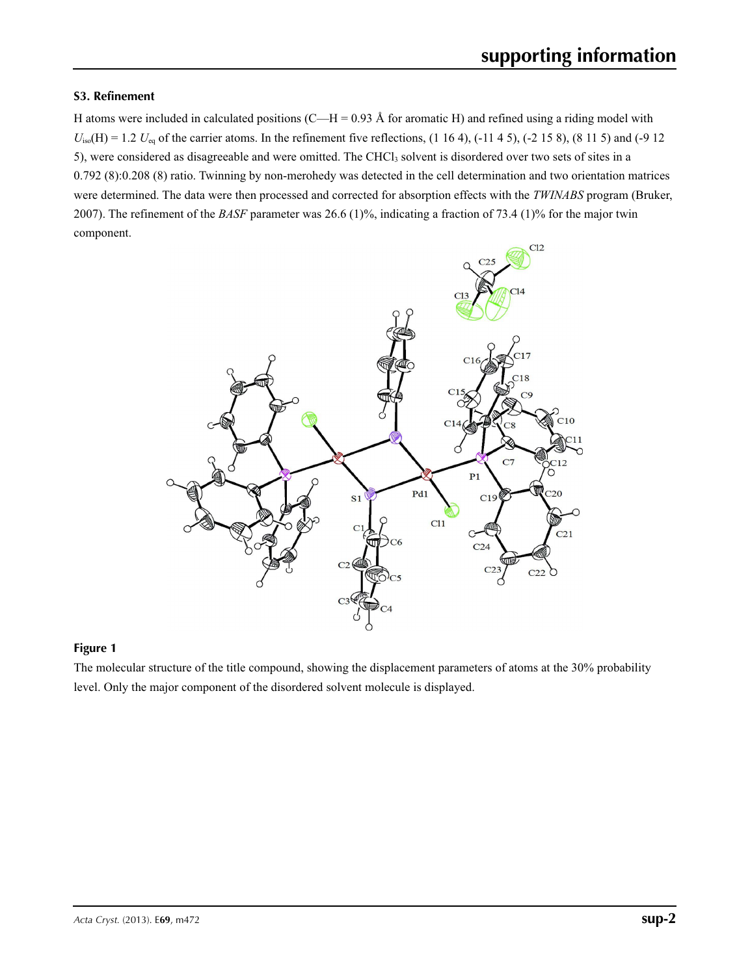### **S3. Refinement**

H atoms were included in calculated positions (C—H = 0.93 Å for aromatic H) and refined using a riding model with  $U_{\text{iso}}(H) = 1.2 U_{\text{eq}}$  of the carrier atoms. In the refinement five reflections,  $(1\ 16\ 4)$ ,  $(-11\ 4\ 5)$ ,  $(-2\ 15\ 8)$ ,  $(8\ 11\ 5)$  and  $(-9\ 12)$ 5), were considered as disagreeable and were omitted. The CHCl<sub>3</sub> solvent is disordered over two sets of sites in a 0.792 (8):0.208 (8) ratio. Twinning by non-merohedy was detected in the cell determination and two orientation matrices were determined. The data were then processed and corrected for absorption effects with the *TWINABS* program (Bruker, 2007). The refinement of the *BASF* parameter was 26.6 (1)%, indicating a fraction of 73.4 (1)% for the major twin component.



#### **Figure 1**

The molecular structure of the title compound, showing the displacement parameters of atoms at the 30% probability level. Only the major component of the disordered solvent molecule is displayed.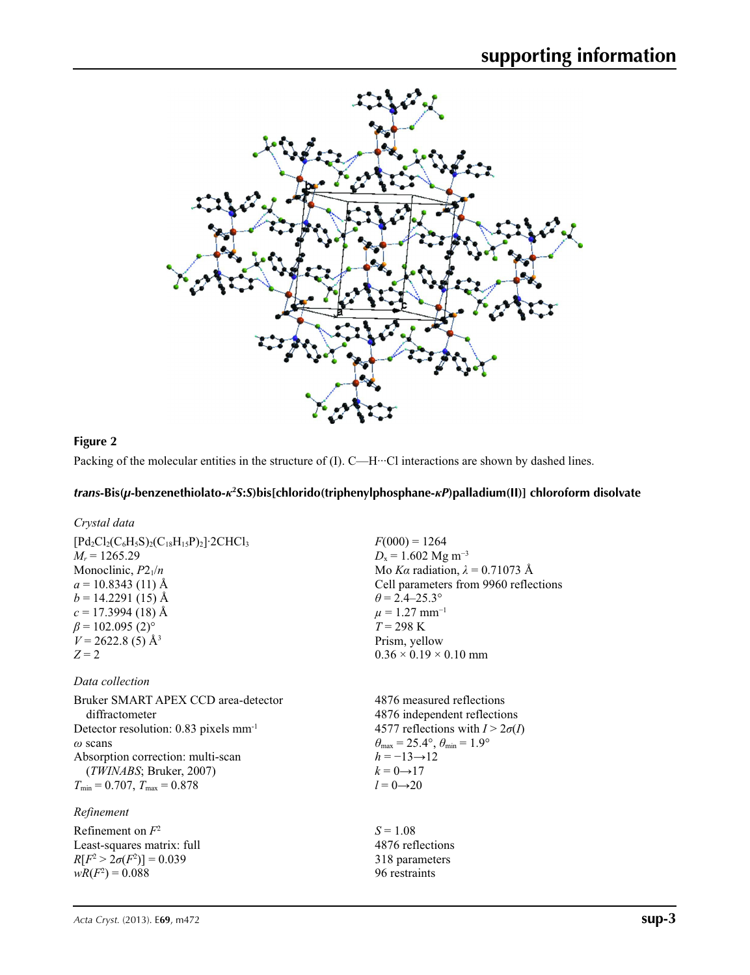

#### **Figure 2**

Packing of the molecular entities in the structure of (I). C—H···Cl interactions are shown by dashed lines.

### *trans***-Bis(***µ***-benzenethiolato-***κ***<sup>2</sup>** *S***:***S***)bis[chlorido(triphenylphosphane-***κP***)palladium(II)] chloroform disolvate**

#### *Crystal data*

| $[{\rm Pd}_{2}{\rm Cl}_{2}({\rm C}_{6}{\rm H}_{5}{\rm S})_{2}({\rm C}_{18}{\rm H}_{15}{\rm P})_{2}]$ 2CHCl <sub>3</sub> | $F(000) = 1264$                                                            |
|-------------------------------------------------------------------------------------------------------------------------|----------------------------------------------------------------------------|
| $M_r = 1265.29$<br>Monoclinic, $P2_1/n$                                                                                 | $D_x = 1.602$ Mg m <sup>-3</sup><br>Mo Ka radiation, $\lambda = 0.71073$ Å |
| $a = 10.8343(11)$ Å                                                                                                     | Cell parameters from 9960 reflections                                      |
| $b = 14.2291(15)$ Å                                                                                                     | $\theta$ = 2.4–25.3°                                                       |
| $c = 17.3994(18)$ Å                                                                                                     | $\mu = 1.27$ mm <sup>-1</sup>                                              |
| $\beta$ = 102.095 (2) <sup>o</sup>                                                                                      | $T = 298 \text{ K}$                                                        |
| $V = 2622.8(5)$ Å <sup>3</sup>                                                                                          | Prism, yellow                                                              |
| $Z=2$                                                                                                                   | $0.36 \times 0.19 \times 0.10$ mm                                          |
| Data collection                                                                                                         |                                                                            |
| Bruker SMART APEX CCD area-detector                                                                                     | 4876 measured reflections                                                  |
| diffractometer                                                                                                          | 4876 independent reflections                                               |

Detector resolution: 0.83 pixels mm-1 *ω* scans Absorption correction: multi-scan (*TWINABS*; Bruker, 2007)  $T_{\text{min}} = 0.707, T_{\text{max}} = 0.878$ 

### *Refinement*

Refinement on *F*<sup>2</sup> Least-squares matrix: full *R*[ $F^2 > 2\sigma(F^2)$ ] = 0.039  $wR(F^2) = 0.088$ 

4577 reflections with  $I > 2\sigma(I)$  $\theta_{\text{max}} = 25.4^{\circ}, \theta_{\text{min}} = 1.9^{\circ}$  $h = -13 \rightarrow 12$  $k = 0 \rightarrow 17$  $l = 0 \rightarrow 20$ 

 $S = 1.08$ 4876 reflections 318 parameters 96 restraints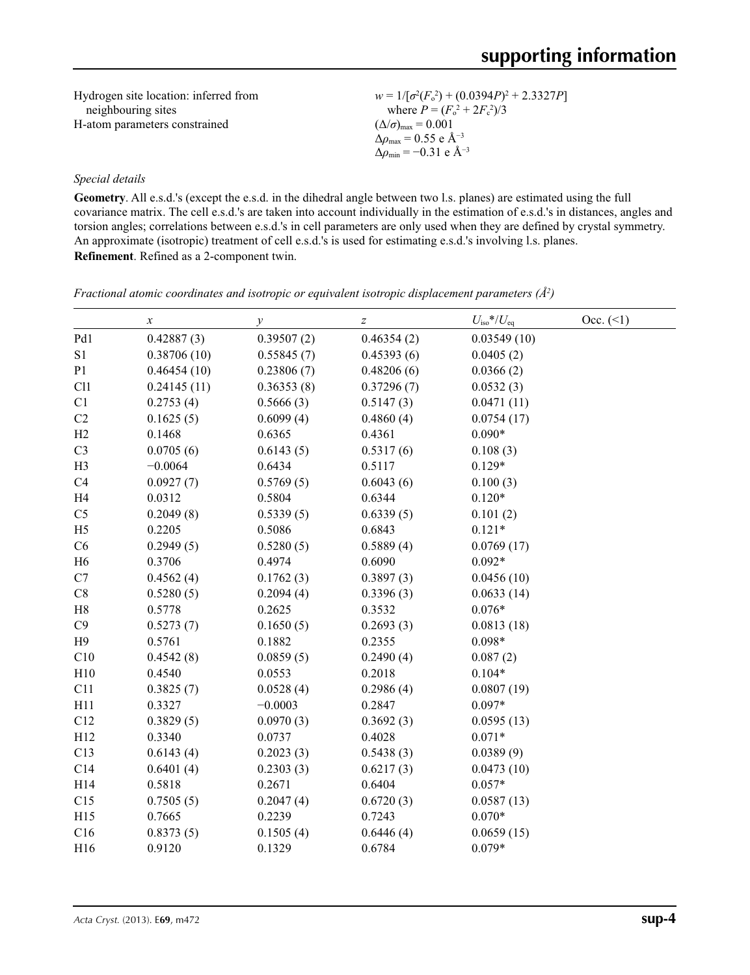Hydrogen site location: inferred from neighbouring sites H-atom parameters constrained  $w = 1/[\sigma^2 (F_o^2) + (0.0394P)^2 + 2.3327P]$ where  $P = (F_o^2 + 2F_c^2)/3$  $(\Delta/\sigma)_{\text{max}} = 0.001$  $Δρ_{max} = 0.55$  e Å<sup>-3</sup>  $\Delta\rho_{\text{min}} = -0.31$  e Å<sup>-3</sup>

#### *Special details*

**Geometry**. All e.s.d.'s (except the e.s.d. in the dihedral angle between two l.s. planes) are estimated using the full covariance matrix. The cell e.s.d.'s are taken into account individually in the estimation of e.s.d.'s in distances, angles and torsion angles; correlations between e.s.d.'s in cell parameters are only used when they are defined by crystal symmetry. An approximate (isotropic) treatment of cell e.s.d.'s is used for estimating e.s.d.'s involving l.s. planes. **Refinement**. Refined as a 2-component twin.

*x y* z *Z*  $U_{\text{iso}}$  *N*/<sub>iso</sub>  $^*/U_{\text{eq}}$  Occ. (<1) Pd1 0.42887 (3) 0.39507 (2) 0.46354 (2) 0.03549 (10) S1 0.38706 (10) 0.55845 (7) 0.45393 (6) 0.0405 (2) P1 0.46454 (10) 0.23806 (7) 0.48206 (6) 0.0366 (2) Cl1 0.24145 (11) 0.36353 (8) 0.37296 (7) 0.0532 (3) C1  $0.2753(4)$   $0.5666(3)$   $0.5147(3)$   $0.0471(11)$ C2  $0.1625(5)$   $0.6099(4)$   $0.4860(4)$   $0.0754(17)$ H2 0.1468 0.6365 0.4361 0.090\* C3 0.0705 (6) 0.6143 (5) 0.5317 (6) 0.108 (3) H3 −0.0064 0.6434 0.5117 0.129\* C4 0.0927 (7) 0.5769 (5) 0.6043 (6) 0.100 (3) H4 0.0312 0.5804 0.6344 0.120\* C5 0.2049 (8) 0.5339 (5) 0.6339 (5) 0.101 (2) H5 0.2205 0.5086 0.6843 0.121\* C6 0.2949 (5) 0.5280 (5) 0.5889 (4) 0.0769 (17) H6 0.3706 0.4974 0.6090 0.092\* C7  $0.4562(4)$   $0.1762(3)$   $0.3897(3)$   $0.0456(10)$ C8 0.5280 (5) 0.2094 (4) 0.3396 (3) 0.0633 (14) H8 0.5778 0.2625 0.3532 0.076\* C9  $0.5273(7)$   $0.1650(5)$   $0.2693(3)$   $0.0813(18)$ H9 0.5761 0.1882 0.2355 0.098\* C10 0.4542 (8) 0.0859 (5) 0.2490 (4) 0.087 (2) H10 0.4540 0.0553 0.2018 0.104\* C11 0.3825 (7) 0.0528 (4) 0.2986 (4) 0.0807 (19) H11  $0.3327$   $-0.0003$   $0.2847$   $0.097*$ C12 0.3829 (5) 0.0970 (3) 0.3692 (3) 0.0595 (13) H12 0.3340 0.0737 0.4028 0.071\* C13 0.6143 (4) 0.2023 (3) 0.5438 (3) 0.0389 (9) C14 0.6401 (4) 0.2303 (3) 0.6217 (3) 0.0473 (10) H14 0.5818 0.2671 0.6404 0.057\* C15 0.7505 (5) 0.2047 (4) 0.6720 (3) 0.0587 (13) H15 0.7665 0.2239 0.7243 0.070\* C16 0.8373 (5) 0.1505 (4) 0.6446 (4) 0.0659 (15) H16 0.9120 0.1329 0.6784 0.079\*

*Fractional atomic coordinates and isotropic or equivalent isotropic displacement parameters (Å<sup>2</sup>)*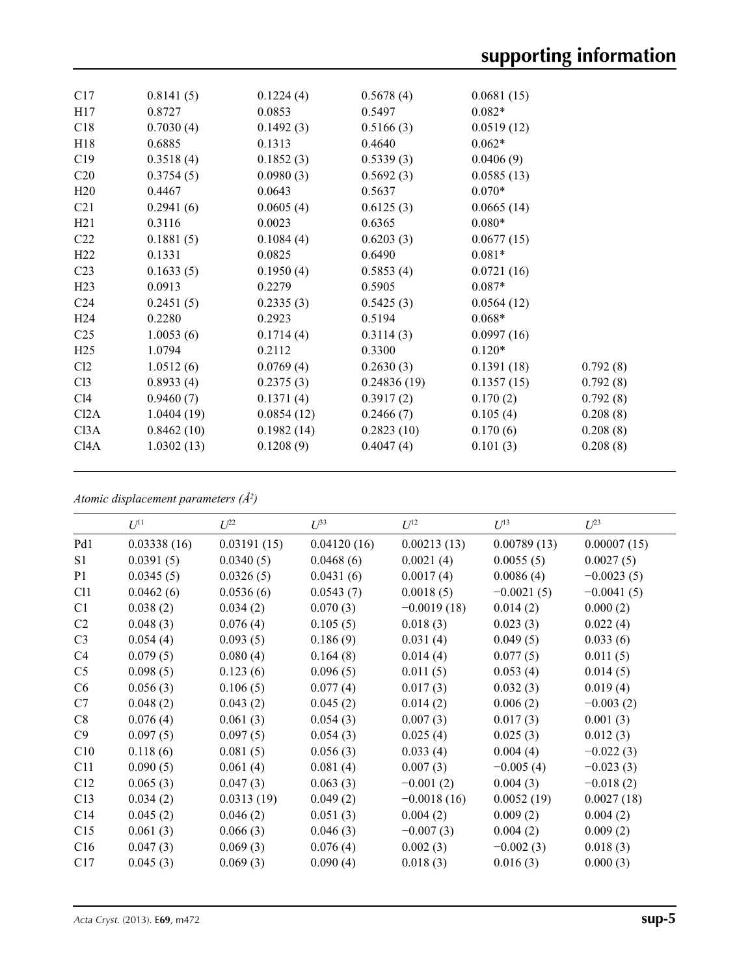| C17              | 0.8141(5)  | 0.1224(4)  | 0.5678(4)   | 0.0681(15) |          |
|------------------|------------|------------|-------------|------------|----------|
| H17              | 0.8727     | 0.0853     | 0.5497      | $0.082*$   |          |
| C18              | 0.7030(4)  | 0.1492(3)  | 0.5166(3)   | 0.0519(12) |          |
| H18              | 0.6885     | 0.1313     | 0.4640      | $0.062*$   |          |
| C19              | 0.3518(4)  | 0.1852(3)  | 0.5339(3)   | 0.0406(9)  |          |
| C <sub>20</sub>  | 0.3754(5)  | 0.0980(3)  | 0.5692(3)   | 0.0585(13) |          |
| H20              | 0.4467     | 0.0643     | 0.5637      | $0.070*$   |          |
| C <sub>21</sub>  | 0.2941(6)  | 0.0605(4)  | 0.6125(3)   | 0.0665(14) |          |
| H21              | 0.3116     | 0.0023     | 0.6365      | $0.080*$   |          |
| C22              | 0.1881(5)  | 0.1084(4)  | 0.6203(3)   | 0.0677(15) |          |
| H22              | 0.1331     | 0.0825     | 0.6490      | $0.081*$   |          |
| C <sub>23</sub>  | 0.1633(5)  | 0.1950(4)  | 0.5853(4)   | 0.0721(16) |          |
| H23              | 0.0913     | 0.2279     | 0.5905      | $0.087*$   |          |
| C <sub>24</sub>  | 0.2451(5)  | 0.2335(3)  | 0.5425(3)   | 0.0564(12) |          |
| H <sub>24</sub>  | 0.2280     | 0.2923     | 0.5194      | $0.068*$   |          |
| C <sub>25</sub>  | 1.0053(6)  | 0.1714(4)  | 0.3114(3)   | 0.0997(16) |          |
| H <sub>25</sub>  | 1.0794     | 0.2112     | 0.3300      | $0.120*$   |          |
| Cl2              | 1.0512(6)  | 0.0769(4)  | 0.2630(3)   | 0.1391(18) | 0.792(8) |
| Cl <sub>3</sub>  | 0.8933(4)  | 0.2375(3)  | 0.24836(19) | 0.1357(15) | 0.792(8) |
| C14              | 0.9460(7)  | 0.1371(4)  | 0.3917(2)   | 0.170(2)   | 0.792(8) |
| Cl2A             | 1.0404(19) | 0.0854(12) | 0.2466(7)   | 0.105(4)   | 0.208(8) |
| C <sub>13A</sub> | 0.8462(10) | 0.1982(14) | 0.2823(10)  | 0.170(6)   | 0.208(8) |
| C <sub>14A</sub> | 1.0302(13) | 0.1208(9)  | 0.4047(4)   | 0.101(3)   | 0.208(8) |
|                  |            |            |             |            |          |

*Atomic displacement parameters (Å2 )*

|                | $U^{11}$    | $U^{22}$    | $U^{33}$    | $U^{12}$      | $U^{13}$     | $U^{23}$     |
|----------------|-------------|-------------|-------------|---------------|--------------|--------------|
| Pd1            | 0.03338(16) | 0.03191(15) | 0.04120(16) | 0.00213(13)   | 0.00789(13)  | 0.00007(15)  |
| S1             | 0.0391(5)   | 0.0340(5)   | 0.0468(6)   | 0.0021(4)     | 0.0055(5)    | 0.0027(5)    |
| P <sub>1</sub> | 0.0345(5)   | 0.0326(5)   | 0.0431(6)   | 0.0017(4)     | 0.0086(4)    | $-0.0023(5)$ |
| C11            | 0.0462(6)   | 0.0536(6)   | 0.0543(7)   | 0.0018(5)     | $-0.0021(5)$ | $-0.0041(5)$ |
| C <sub>1</sub> | 0.038(2)    | 0.034(2)    | 0.070(3)    | $-0.0019(18)$ | 0.014(2)     | 0.000(2)     |
| C <sub>2</sub> | 0.048(3)    | 0.076(4)    | 0.105(5)    | 0.018(3)      | 0.023(3)     | 0.022(4)     |
| C <sub>3</sub> | 0.054(4)    | 0.093(5)    | 0.186(9)    | 0.031(4)      | 0.049(5)     | 0.033(6)     |
| C <sub>4</sub> | 0.079(5)    | 0.080(4)    | 0.164(8)    | 0.014(4)      | 0.077(5)     | 0.011(5)     |
| C <sub>5</sub> | 0.098(5)    | 0.123(6)    | 0.096(5)    | 0.011(5)      | 0.053(4)     | 0.014(5)     |
| C <sub>6</sub> | 0.056(3)    | 0.106(5)    | 0.077(4)    | 0.017(3)      | 0.032(3)     | 0.019(4)     |
| C7             | 0.048(2)    | 0.043(2)    | 0.045(2)    | 0.014(2)      | 0.006(2)     | $-0.003(2)$  |
| C8             | 0.076(4)    | 0.061(3)    | 0.054(3)    | 0.007(3)      | 0.017(3)     | 0.001(3)     |
| C9             | 0.097(5)    | 0.097(5)    | 0.054(3)    | 0.025(4)      | 0.025(3)     | 0.012(3)     |
| C10            | 0.118(6)    | 0.081(5)    | 0.056(3)    | 0.033(4)      | 0.004(4)     | $-0.022(3)$  |
| C11            | 0.090(5)    | 0.061(4)    | 0.081(4)    | 0.007(3)      | $-0.005(4)$  | $-0.023(3)$  |
| C12            | 0.065(3)    | 0.047(3)    | 0.063(3)    | $-0.001(2)$   | 0.004(3)     | $-0.018(2)$  |
| C13            | 0.034(2)    | 0.0313(19)  | 0.049(2)    | $-0.0018(16)$ | 0.0052(19)   | 0.0027(18)   |
| C14            | 0.045(2)    | 0.046(2)    | 0.051(3)    | 0.004(2)      | 0.009(2)     | 0.004(2)     |
| C15            | 0.061(3)    | 0.066(3)    | 0.046(3)    | $-0.007(3)$   | 0.004(2)     | 0.009(2)     |
| C16            | 0.047(3)    | 0.069(3)    | 0.076(4)    | 0.002(3)      | $-0.002(3)$  | 0.018(3)     |
|                | 0.045(3)    | 0.069(3)    | 0.090(4)    | 0.018(3)      | 0.016(3)     | 0.000(3)     |
| C17            |             |             |             |               |              |              |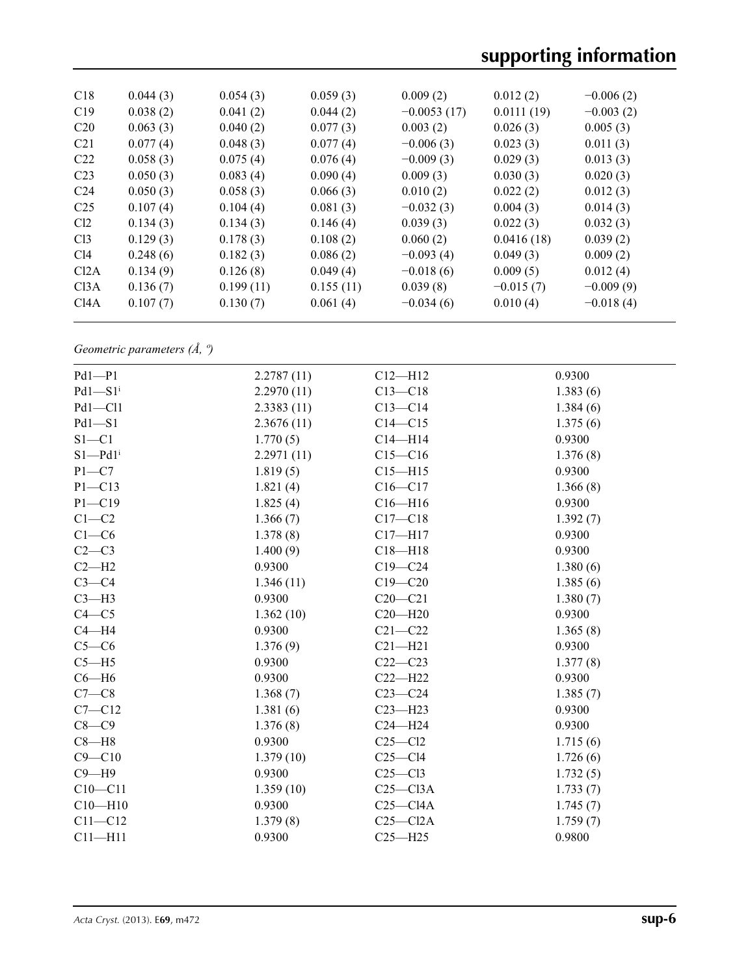# **supporting information**

| C18              | 0.044(3) | 0.054(3)  | 0.059(3)  | 0.009(2)      | 0.012(2)    | $-0.006(2)$ |
|------------------|----------|-----------|-----------|---------------|-------------|-------------|
| C19              | 0.038(2) | 0.041(2)  | 0.044(2)  | $-0.0053(17)$ | 0.0111(19)  | $-0.003(2)$ |
| C <sub>20</sub>  | 0.063(3) | 0.040(2)  | 0.077(3)  | 0.003(2)      | 0.026(3)    | 0.005(3)    |
| C <sub>21</sub>  | 0.077(4) | 0.048(3)  | 0.077(4)  | $-0.006(3)$   | 0.023(3)    | 0.011(3)    |
| C <sub>22</sub>  | 0.058(3) | 0.075(4)  | 0.076(4)  | $-0.009(3)$   | 0.029(3)    | 0.013(3)    |
| C <sub>23</sub>  | 0.050(3) | 0.083(4)  | 0.090(4)  | 0.009(3)      | 0.030(3)    | 0.020(3)    |
| C <sub>24</sub>  | 0.050(3) | 0.058(3)  | 0.066(3)  | 0.010(2)      | 0.022(2)    | 0.012(3)    |
| C <sub>25</sub>  | 0.107(4) | 0.104(4)  | 0.081(3)  | $-0.032(3)$   | 0.004(3)    | 0.014(3)    |
| Cl <sub>2</sub>  | 0.134(3) | 0.134(3)  | 0.146(4)  | 0.039(3)      | 0.022(3)    | 0.032(3)    |
| Cl <sub>3</sub>  | 0.129(3) | 0.178(3)  | 0.108(2)  | 0.060(2)      | 0.0416(18)  | 0.039(2)    |
| Cl4              | 0.248(6) | 0.182(3)  | 0.086(2)  | $-0.093(4)$   | 0.049(3)    | 0.009(2)    |
| Cl2A             | 0.134(9) | 0.126(8)  | 0.049(4)  | $-0.018(6)$   | 0.009(5)    | 0.012(4)    |
| C <sub>13A</sub> | 0.136(7) | 0.199(11) | 0.155(11) | 0.039(8)      | $-0.015(7)$ | $-0.009(9)$ |
| C <sub>14A</sub> | 0.107(7) | 0.130(7)  | 0.061(4)  | $-0.034(6)$   | 0.010(4)    | $-0.018(4)$ |
|                  |          |           |           |               |             |             |

*Geometric parameters (Å, º)*

| $Pd1-P1$                | 2.2787(11) | $C12 - H12$  | 0.9300   |
|-------------------------|------------|--------------|----------|
| $Pd1 - S1$ <sup>i</sup> | 2.2970(11) | $C13 - C18$  | 1.383(6) |
| $Pd1 - Cl1$             | 2.3383(11) | $C13 - C14$  | 1.384(6) |
| $Pd1-S1$                | 2.3676(11) | $C14 - C15$  | 1.375(6) |
| $S1 - C1$               | 1.770(5)   | $C14 - H14$  | 0.9300   |
| $S1 - Pd1$ <sup>i</sup> | 2.2971(11) | $C15 - C16$  | 1.376(8) |
| $P1 - C7$               | 1.819(5)   | $C15 - H15$  | 0.9300   |
| $P1 - C13$              | 1.821(4)   | $C16 - C17$  | 1.366(8) |
| $P1 - C19$              | 1.825(4)   | $C16 - H16$  | 0.9300   |
| $C1 - C2$               | 1.366(7)   | $C17 - C18$  | 1.392(7) |
| $C1-C6$                 | 1.378(8)   | $C17 - H17$  | 0.9300   |
| $C2-C3$                 | 1.400(9)   | $C18 - H18$  | 0.9300   |
| $C2-H2$                 | 0.9300     | $C19 - C24$  | 1.380(6) |
| $C3-C4$                 | 1.346(11)  | $C19 - C20$  | 1.385(6) |
| $C3-H3$                 | 0.9300     | $C20 - C21$  | 1.380(7) |
| $C4 - C5$               | 1.362(10)  | $C20 - H20$  | 0.9300   |
| $C4 - H4$               | 0.9300     | $C21 - C22$  | 1.365(8) |
| $C5-C6$                 | 1.376(9)   | $C21 - H21$  | 0.9300   |
| $C5 - H5$               | 0.9300     | $C22-C23$    | 1.377(8) |
| $C6 - H6$               | 0.9300     | $C22-H22$    | 0.9300   |
| $C7-C8$                 | 1.368(7)   | $C23-C24$    | 1.385(7) |
| $C7 - C12$              | 1.381(6)   | $C23 - H23$  | 0.9300   |
| $C8 - C9$               | 1.376(8)   | $C24 - H24$  | 0.9300   |
| $C8 - H8$               | 0.9300     | $C25 - C12$  | 1.715(6) |
| $C9 - C10$              | 1.379(10)  | $C25-C14$    | 1.726(6) |
| $C9 - H9$               | 0.9300     | $C25-C13$    | 1.732(5) |
| $C10-C11$               | 1.359(10)  | $C25 - C13A$ | 1.733(7) |
| $C10 - H10$             | 0.9300     | $C25-C14A$   | 1.745(7) |
| $C11 - C12$             | 1.379(8)   | $C25 - C12A$ | 1.759(7) |
| $C11 - H11$             | 0.9300     | $C25 - H25$  | 0.9800   |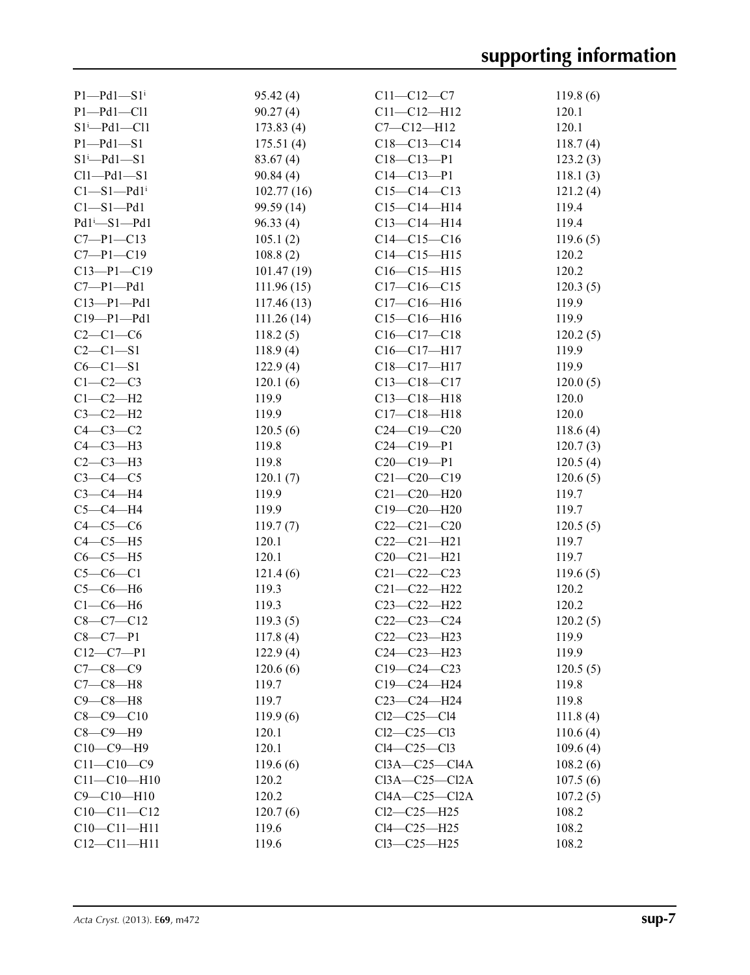| $P1-Pd1-S1$ <sup>i</sup> | 95.42(4)   | $C11 - C12 - C7$    | 119.8(6) |
|--------------------------|------------|---------------------|----------|
| $P1-Pd1-Cl1$             | 90.27(4)   | $C11 - C12 - H12$   | 120.1    |
| $S1^i$ -Pd1-Cl1          | 173.83(4)  | $C7 - C12 - H12$    | 120.1    |
| $P1 - Pd1 - S1$          | 175.51(4)  | $C18 - C13 - C14$   | 118.7(4) |
| $S1^i$ -Pd1-S1           | 83.67(4)   | $C18 - C13 - P1$    | 123.2(3) |
| $Cl1-Pd1-S1$             | 90.84(4)   | $C14 - C13 - P1$    | 118.1(3) |
| Cl—S1—Pd1 <sup>i</sup>   | 102.77(16) | $C15-C14-C13$       | 121.2(4) |
| $C1 - S1 - Pd1$          | 99.59 (14) | $C15 - C14 - H14$   | 119.4    |
| Pd1 <sup>i</sup> -S1-Pd1 | 96.33(4)   | $C13-C14-H14$       | 119.4    |
| $C7 - P1 - C13$          | 105.1(2)   | $C14-C15-C16$       | 119.6(5) |
| $C7 - P1 - C19$          | 108.8(2)   | $C14 - C15 - H15$   | 120.2    |
| $C13-P1-C19$             | 101.47(19) | $C16 - C15 - H15$   | 120.2    |
| $C7-P1-Pd1$              | 111.96(15) | $C17 - C16 - C15$   | 120.3(5) |
| $C13 - P1 - Pd1$         | 117.46(13) | $C17 - C16 - H16$   | 119.9    |
| $C19 - P1 - Pd1$         | 111.26(14) | $C15-C16-H16$       | 119.9    |
| $C2-C1-C6$               |            |                     | 120.2(5) |
|                          | 118.2(5)   | $C16-C17-C18$       |          |
| $C2 - C1 - S1$           | 118.9(4)   | $C16-C17-H17$       | 119.9    |
| $C6-C1-S1$               | 122.9(4)   | $C18 - C17 - H17$   | 119.9    |
| $C1-C2-C3$               | 120.1(6)   | $C13 - C18 - C17$   | 120.0(5) |
| $C1-C2-H2$               | 119.9      | $C13 - C18 - H18$   | 120.0    |
| $C3-C2-H2$               | 119.9      | $C17 - C18 - H18$   | 120.0    |
| $C4-C3-C2$               | 120.5(6)   | $C24 - C19 - C20$   | 118.6(4) |
| $C4-C3-H3$               | 119.8      | $C24 - C19 - P1$    | 120.7(3) |
| $C2-C3-H3$               | 119.8      | $C20 - C19 - P1$    | 120.5(4) |
| $C3-C4-C5$               | 120.1(7)   | $C21 - C20 - C19$   | 120.6(5) |
| $C3-C4-H4$               | 119.9      | $C21 - C20 - H20$   | 119.7    |
| $C5-C4-H4$               | 119.9      | $C19 - C20 - H20$   | 119.7    |
| $C4-C5-C6$               | 119.7(7)   | $C22-C21-C20$       | 120.5(5) |
| $C4-C5-H5$               | 120.1      | $C22-C21-H21$       | 119.7    |
| $C6-C5-H5$               | 120.1      | $C20-C21-H21$       | 119.7    |
| $C5-C6-C1$               | 121.4(6)   | $C21 - C22 - C23$   | 119.6(5) |
| $C5-C6-H6$               | 119.3      | $C21 - C22 - H22$   | 120.2    |
| $C1-C6-H6$               | 119.3      | $C23 - C22 - H22$   | 120.2    |
| $C8-C7-C12$              | 119.3(5)   | $C22-C23-C24$       | 120.2(5) |
| $C8 - C7 - P1$           | 117.8(4)   | C22-C23-H23         | 119.9    |
| $C12-C7-P1$              | 122.9(4)   | $C24 - C23 - H23$   | 119.9    |
| $C7 - C8 - C9$           | 120.6(6)   | $C19 - C24 - C23$   | 120.5(5) |
| $C7-C8-H8$               | 119.7      | C19-C24-H24         | 119.8    |
| $C9-C8-H8$               | 119.7      | $C23 - C24 - H24$   | 119.8    |
| $C8 - C9 - C10$          | 119.9(6)   | $Cl2-C25-C14$       | 111.8(4) |
| $C8-C9-H9$               | 120.1      | $Cl2-C25-C13$       | 110.6(4) |
| $C10-C9-H9$              | 120.1      | $Cl4-C25-C13$       | 109.6(4) |
| $C11 - C10 - C9$         | 119.6(6)   | $C13A - C25 - C14A$ | 108.2(6) |
| $C11 - C10 - H10$        | 120.2      | $C13A - C25 - C12A$ | 107.5(6) |
| $C9 - C10 - H10$         | 120.2      | $C14A - C25 - C12A$ | 107.2(5) |
| $C10-C11-C12$            | 120.7(6)   | $Cl2-C25-H25$       | 108.2    |
| $C10 - C11 - H11$        | 119.6      | $Cl4-C25-H25$       | 108.2    |
| $C12 - C11 - H11$        | 119.6      | $Cl3-C25-H25$       | 108.2    |
|                          |            |                     |          |